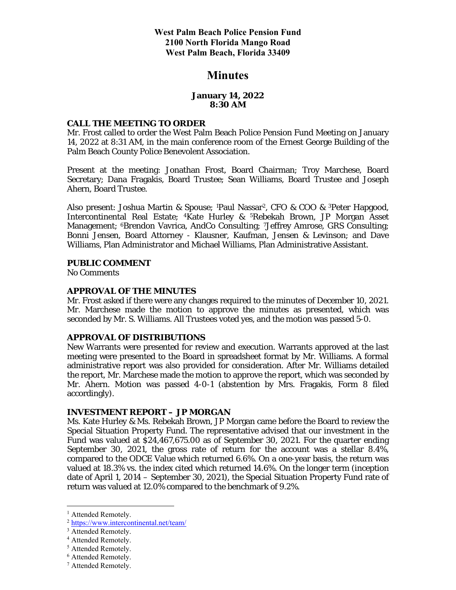**West Palm Beach Police Pension Fund 2100 North Florida Mango Road West Palm Beach, Florida 33409** 

# **Minutes**

### **January 14, 2022 8:30 AM**

#### **CALL THE MEETING TO ORDER**

Mr. Frost called to order the West Palm Beach Police Pension Fund Meeting on January 14, 2022 at 8:31 AM, in the main conference room of the Ernest George Building of the Palm Beach County Police Benevolent Association.

Present at the meeting: Jonathan Frost, Board Chairman; Troy Marchese, Board Secretary; Dana Fragakis, Board Trustee; Sean Williams, Board Trustee and Joseph Ahern, Board Trustee.

Also present: Joshua Martin & Spouse; <sup>1</sup>Paul Nassar<sup>2</sup>, CFO & COO & <sup>3</sup>Peter Hapgood, Intercontinental Real Estate; 4Kate Hurley & 5Rebekah Brown, JP Morgan Asset Management; 6Brendon Vavrica, AndCo Consulting; 7Jeffrey Amrose, GRS Consulting; Bonni Jensen, Board Attorney - Klausner, Kaufman, Jensen & Levinson; and Dave Williams, Plan Administrator and Michael Williams, Plan Administrative Assistant.

#### **PUBLIC COMMENT**

No Comments

### **APPROVAL OF THE MINUTES**

Mr. Frost asked if there were any changes required to the minutes of December 10, 2021. Mr. Marchese made the motion to approve the minutes as presented, which was seconded by Mr. S. Williams. All Trustees voted yes, and the motion was passed 5-0.

#### **APPROVAL OF DISTRIBUTIONS**

New Warrants were presented for review and execution. Warrants approved at the last meeting were presented to the Board in spreadsheet format by Mr. Williams. A formal administrative report was also provided for consideration. After Mr. Williams detailed the report, Mr. Marchese made the motion to approve the report, which was seconded by Mr. Ahern. Motion was passed 4-0-1 (abstention by Mrs. Fragakis, Form 8 filed accordingly).

#### **INVESTMENT REPORT – JP MORGAN**

Ms. Kate Hurley & Ms. Rebekah Brown, JP Morgan came before the Board to review the Special Situation Property Fund. The representative advised that our investment in the Fund was valued at \$24,467,675.00 as of September 30, 2021. For the quarter ending September 30, 2021, the gross rate of return for the account was a stellar 8.4%, compared to the ODCE Value which returned 6.6%. On a one-year basis, the return was valued at 18.3% vs. the index cited which returned 14.6%. On the longer term (inception date of April 1, 2014 – September 30, 2021), the Special Situation Property Fund rate of return was valued at 12.0% compared to the benchmark of 9.2%.

<sup>&</sup>lt;sup>1</sup> Attended Remotely.

<sup>2</sup> https://www.intercontinental.net/team/

<sup>&</sup>lt;sup>3</sup> Attended Remotely.

<sup>4</sup> Attended Remotely.

<sup>5</sup> Attended Remotely.

<sup>6</sup> Attended Remotely.

<sup>7</sup> Attended Remotely.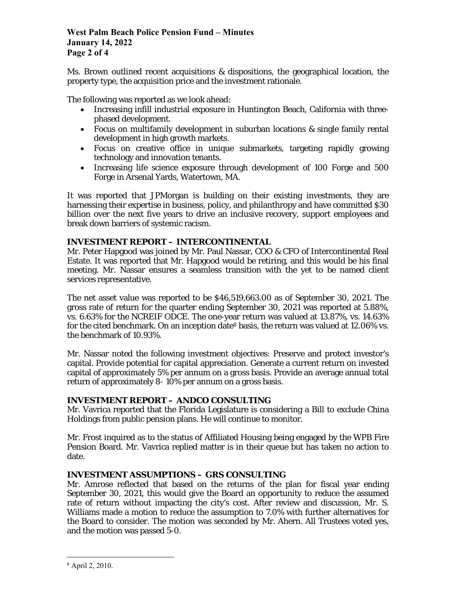## **West Palm Beach Police Pension Fund – Minutes January 14, 2022 Page 2 of 4**

Ms. Brown outlined recent acquisitions  $\&$  dispositions, the geographical location, the property type, the acquisition price and the investment rationale.

The following was reported as we look ahead:

- Increasing infill industrial exposure in Huntington Beach, California with threephased development.
- Focus on multifamily development in suburban locations & single family rental development in high growth markets.
- Focus on creative office in unique submarkets, targeting rapidly growing technology and innovation tenants.
- Increasing life science exposure through development of 100 Forge and 500 Forge in Arsenal Yards, Watertown, MA.

It was reported that JPMorgan is building on their existing investments, they are harnessing their expertise in business, policy, and philanthropy and have committed \$30 billion over the next five years to drive an inclusive recovery, support employees and break down barriers of systemic racism.

## **INVESTMENT REPORT – INTERCONTINENTAL**

Mr. Peter Hapgood was joined by Mr. Paul Nassar, COO & CFO of Intercontinental Real Estate. It was reported that Mr. Hapgood would be retiring, and this would be his final meeting. Mr. Nassar ensures a seamless transition with the yet to be named client services representative.

The net asset value was reported to be \$46,519,663.00 as of September 30, 2021. The gross rate of return for the quarter ending September 30, 2021 was reported at 5.88%, vs. 6.63% for the NCREIF ODCE. The one-year return was valued at 13.87%, vs. 14.63% for the cited benchmark. On an inception date<sup>8</sup> basis, the return was valued at  $12.06\%$  vs. the benchmark of 10.93%.

Mr. Nassar noted the following investment objectives: Preserve and protect investor's capital. Provide potential for capital appreciation. Generate a current return on invested capital of approximately 5% per annum on a gross basis. Provide an average annual total return of approximately 8- 10% per annum on a gross basis.

### **INVESTMENT REPORT – ANDCO CONSULTING**

Mr. Vavrica reported that the Florida Legislature is considering a Bill to exclude China Holdings from public pension plans. He will continue to monitor.

Mr. Frost inquired as to the status of Affiliated Housing being engaged by the WPB Fire Pension Board. Mr. Vavrica replied matter is in their queue but has taken no action to date.

## **INVESTMENT ASSUMPTIONS – GRS CONSULTING**

Mr. Amrose reflected that based on the returns of the plan for fiscal year ending September 30, 2021, this would give the Board an opportunity to reduce the assumed rate of return without impacting the city's cost. After review and discussion, Mr. S. Williams made a motion to reduce the assumption to 7.0% with further alternatives for the Board to consider. The motion was seconded by Mr. Ahern. All Trustees voted yes, and the motion was passed 5-0.

<sup>8</sup> April 2, 2010.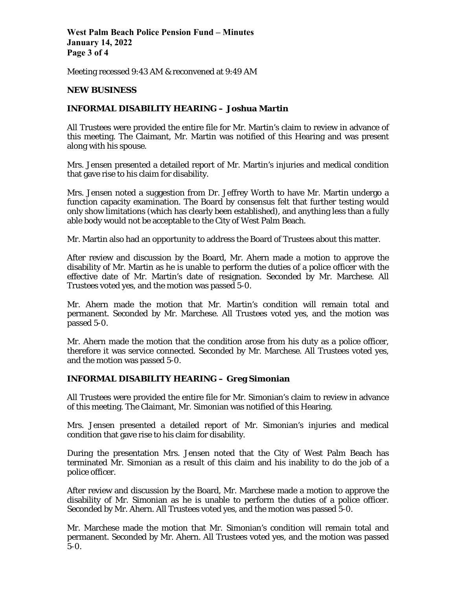**West Palm Beach Police Pension Fund – Minutes January 14, 2022 Page 3 of 4** 

Meeting recessed 9:43 AM & reconvened at 9:49 AM

### **NEW BUSINESS**

### **INFORMAL DISABILITY HEARING – Joshua Martin**

All Trustees were provided the entire file for Mr. Martin's claim to review in advance of this meeting. The Claimant, Mr. Martin was notified of this Hearing and was present along with his spouse.

Mrs. Jensen presented a detailed report of Mr. Martin's injuries and medical condition that gave rise to his claim for disability.

Mrs. Jensen noted a suggestion from Dr. Jeffrey Worth to have Mr. Martin undergo a function capacity examination. The Board by consensus felt that further testing would only show limitations (which has clearly been established), and anything less than a fully able body would not be acceptable to the City of West Palm Beach.

Mr. Martin also had an opportunity to address the Board of Trustees about this matter.

After review and discussion by the Board, Mr. Ahern made a motion to approve the disability of Mr. Martin as he is unable to perform the duties of a police officer with the effective date of Mr. Martin's date of resignation. Seconded by Mr. Marchese. All Trustees voted yes, and the motion was passed 5-0.

Mr. Ahern made the motion that Mr. Martin's condition will remain total and permanent. Seconded by Mr. Marchese. All Trustees voted yes, and the motion was passed 5-0.

Mr. Ahern made the motion that the condition arose from his duty as a police officer, therefore it was service connected. Seconded by Mr. Marchese. All Trustees voted yes, and the motion was passed 5-0.

### **INFORMAL DISABILITY HEARING – Greg Simonian**

All Trustees were provided the entire file for Mr. Simonian's claim to review in advance of this meeting. The Claimant, Mr. Simonian was notified of this Hearing.

Mrs. Jensen presented a detailed report of Mr. Simonian's injuries and medical condition that gave rise to his claim for disability.

During the presentation Mrs. Jensen noted that the City of West Palm Beach has terminated Mr. Simonian as a result of this claim and his inability to do the job of a police officer.

After review and discussion by the Board, Mr. Marchese made a motion to approve the disability of Mr. Simonian as he is unable to perform the duties of a police officer. Seconded by Mr. Ahern. All Trustees voted yes, and the motion was passed 5-0.

Mr. Marchese made the motion that Mr. Simonian's condition will remain total and permanent. Seconded by Mr. Ahern. All Trustees voted yes, and the motion was passed 5-0.